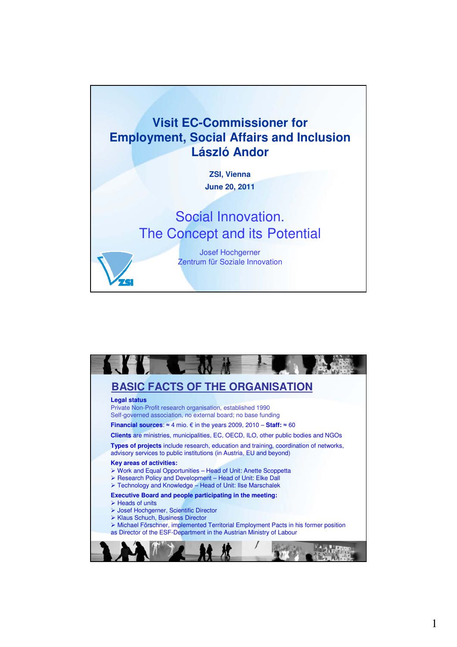

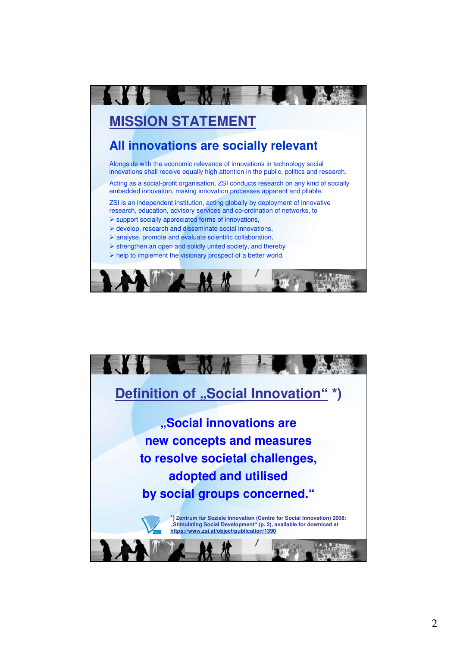

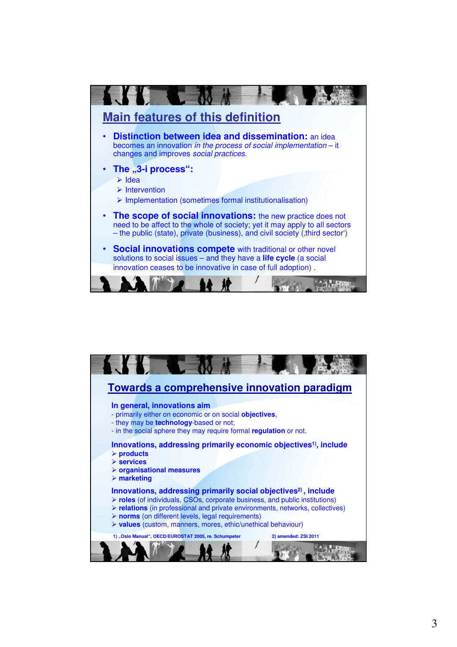

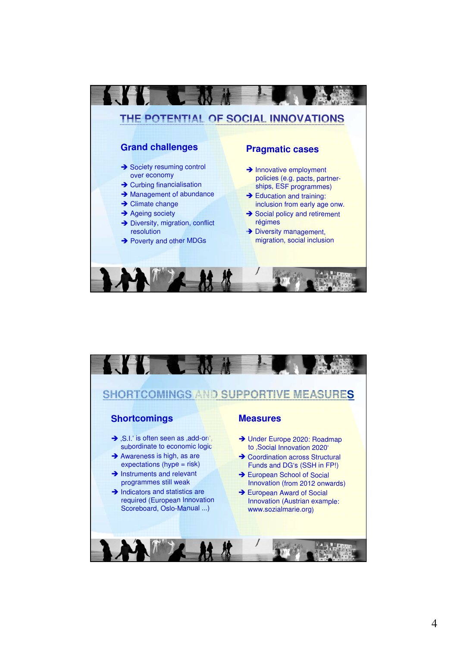